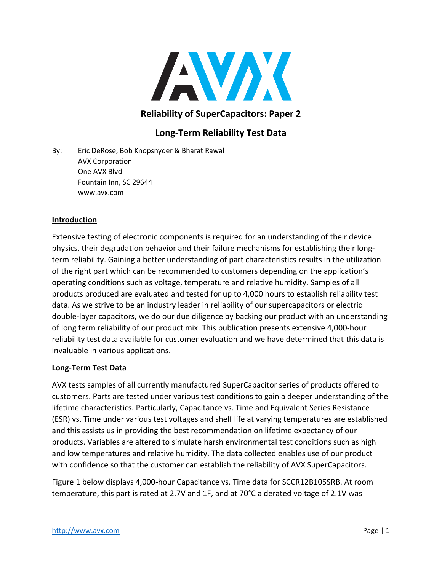

# **Reliability of SuperCapacitors: Paper 2**

## **Long-Term Reliability Test Data**

By: Eric DeRose, Bob Knopsnyder & Bharat Rawal AVX Corporation One AVX Blvd Fountain Inn, SC 29644 www.avx.com

#### **Introduction**

Extensive testing of electronic components is required for an understanding of their device physics, their degradation behavior and their failure mechanisms for establishing their longterm reliability. Gaining a better understanding of part characteristics results in the utilization of the right part which can be recommended to customers depending on the application's operating conditions such as voltage, temperature and relative humidity. Samples of all products produced are evaluated and tested for up to 4,000 hours to establish reliability test data. As we strive to be an industry leader in reliability of our supercapacitors or electric double-layer capacitors, we do our due diligence by backing our product with an understanding of long term reliability of our product mix. This publication presents extensive 4,000-hour reliability test data available for customer evaluation and we have determined that this data is invaluable in various applications.

#### **Long-Term Test Data**

AVX tests samples of all currently manufactured SuperCapacitor series of products offered to customers. Parts are tested under various test conditions to gain a deeper understanding of the lifetime characteristics. Particularly, Capacitance vs. Time and Equivalent Series Resistance (ESR) vs. Time under various test voltages and shelf life at varying temperatures are established and this assists us in providing the best recommendation on lifetime expectancy of our products. Variables are altered to simulate harsh environmental test conditions such as high and low temperatures and relative humidity. The data collected enables use of our product with confidence so that the customer can establish the reliability of AVX SuperCapacitors.

Figure 1 below displays 4,000-hour Capacitance vs. Time data for SCCR12B105SRB. At room temperature, this part is rated at 2.7V and 1F, and at 70°C a derated voltage of 2.1V was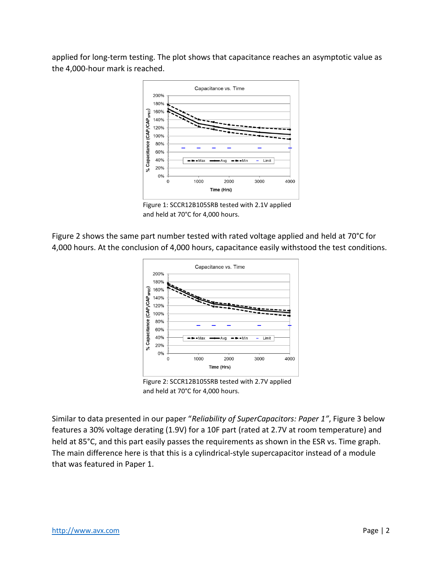applied for long-term testing. The plot shows that capacitance reaches an asymptotic value as the 4,000-hour mark is reached.



Figure 1: SCCR12B105SRB tested with 2.1V applied and held at 70°C for 4,000 hours.

Figure 2 shows the same part number tested with rated voltage applied and held at 70°C for 4,000 hours. At the conclusion of 4,000 hours, capacitance easily withstood the test conditions.



Figure 2: SCCR12B105SRB tested with 2.7V applied and held at 70°C for 4,000 hours.

Similar to data presented in our paper "*Reliability of SuperCapacitors: Paper 1"*, Figure 3 below features a 30% voltage derating (1.9V) for a 10F part (rated at 2.7V at room temperature) and held at 85°C, and this part easily passes the requirements as shown in the ESR vs. Time graph. The main difference here is that this is a cylindrical-style supercapacitor instead of a module that was featured in Paper 1.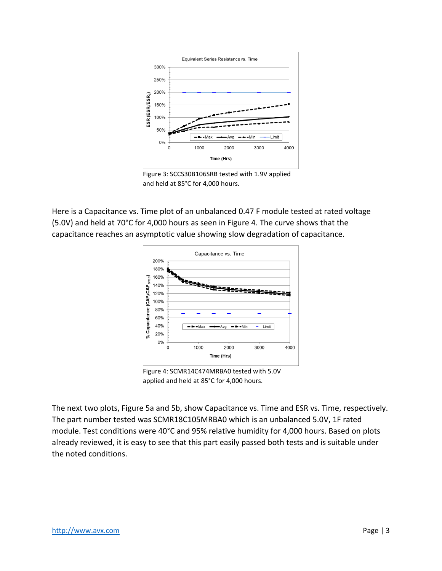

Figure 3: SCCS30B106SRB tested with 1.9V applied and held at 85°C for 4,000 hours.

Here is a Capacitance vs. Time plot of an unbalanced 0.47 F module tested at rated voltage (5.0V) and held at 70°C for 4,000 hours as seen in Figure 4. The curve shows that the capacitance reaches an asymptotic value showing slow degradation of capacitance.



Figure 4: SCMR14C474MRBA0 tested with 5.0V applied and held at 85°C for 4,000 hours.

The next two plots, Figure 5a and 5b, show Capacitance vs. Time and ESR vs. Time, respectively. The part number tested was SCMR18C105MRBA0 which is an unbalanced 5.0V, 1F rated module. Test conditions were 40°C and 95% relative humidity for 4,000 hours. Based on plots already reviewed, it is easy to see that this part easily passed both tests and is suitable under the noted conditions.